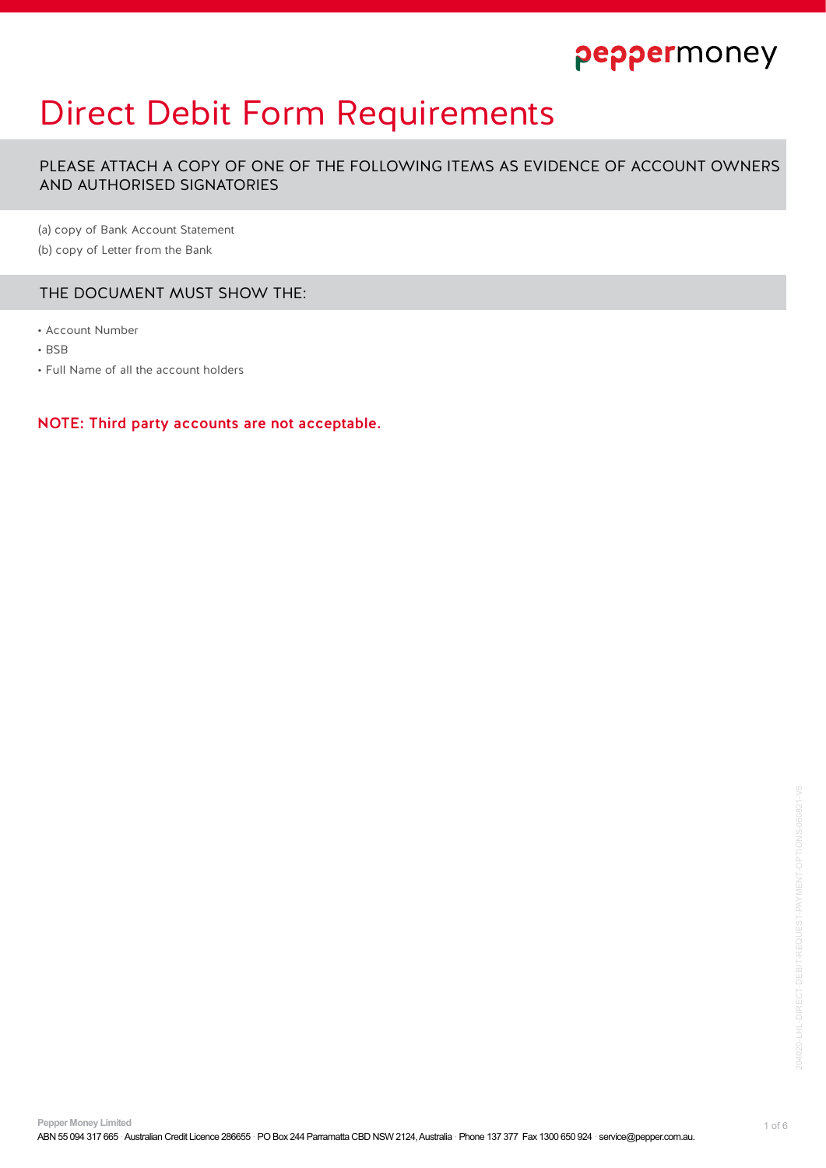# Direct Debit Form Requirements

PLEASE ATTACH A COPY OF ONE OF THE FOLLOWING ITEMS AS EVIDENCE OF ACCOUNT OWNERS AND AUTHORISED SIGNATORIES

(a) copy of Bank Account Statement

(b) copy of Letter from the Bank

## THE DOCUMENT MUST SHOW THE:

- Account Number
- BSB
- Full Name of all the account holders

NOTE: Third party accounts are not acceptable.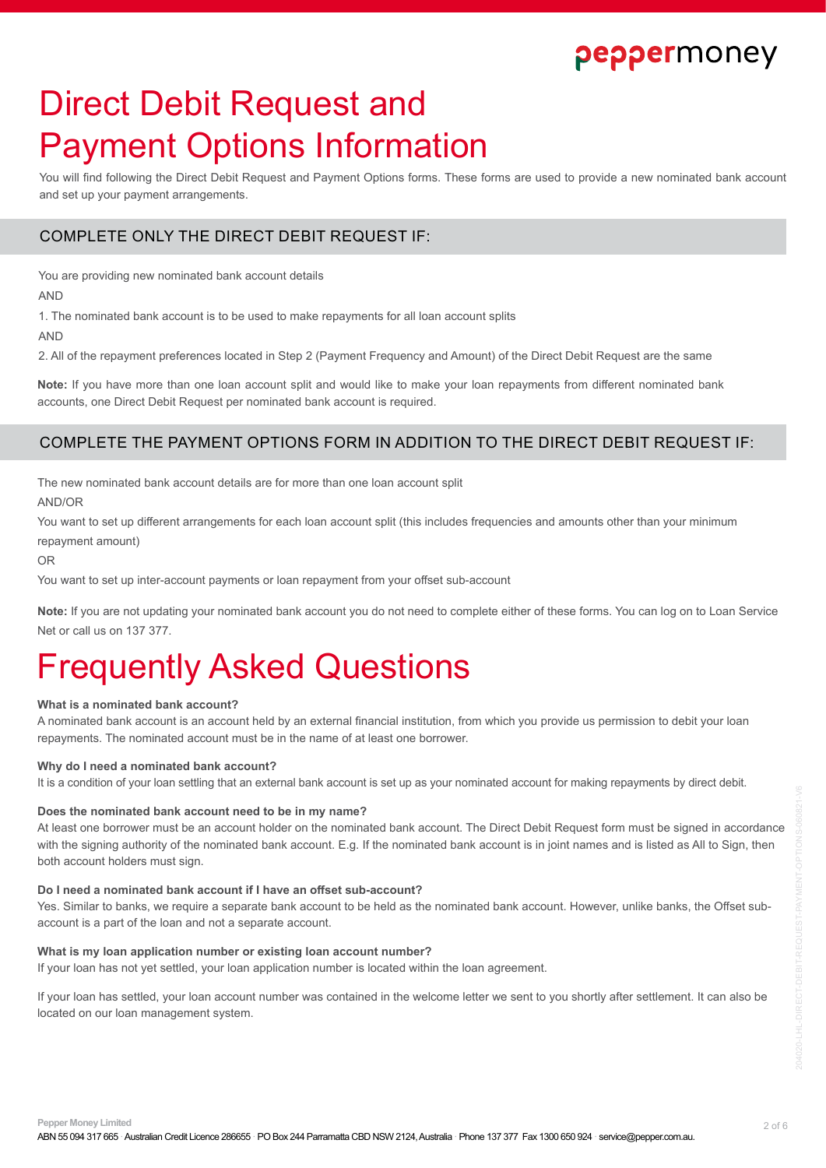# Direct Debit Request and Payment Options Information

You will find following the Direct Debit Request and Payment Options forms. These forms are used to provide a new nominated bank account and set up your payment arrangements.

## COMPLETE ONLY THE DIRECT DEBIT REQUEST IF:

You are providing new nominated bank account details

AND

1. The nominated bank account is to be used to make repayments for all loan account splits

AND

2. All of the repayment preferences located in Step 2 (Payment Frequency and Amount) of the Direct Debit Request are the same

**Note:** If you have more than one loan account split and would like to make your loan repayments from different nominated bank accounts, one Direct Debit Request per nominated bank account is required.

## COMPLETE THE PAYMENT OPTIONS FORM IN ADDITION TO THE DIRECT DEBIT REQUEST IF:

The new nominated bank account details are for more than one loan account split AND/OR

You want to set up different arrangements for each loan account split (this includes frequencies and amounts other than your minimum repayment amount)

OR

You want to set up inter-account payments or loan repayment from your offset sub-account

**Note:** If you are not updating your nominated bank account you do not need to complete either of these forms. You can log on to Loan Service Net or call us on 137 377.

# Frequently Asked Questions

### **What is a nominated bank account?**

A nominated bank account is an account held by an external financial institution, from which you provide us permission to debit your loan repayments. The nominated account must be in the name of at least one borrower.

### **Why do I need a nominated bank account?**

It is a condition of your loan settling that an external bank account is set up as your nominated account for making repayments by direct debit.

### **Does the nominated bank account need to be in my name?**

At least one borrower must be an account holder on the nominated bank account. The Direct Debit Request form must be signed in accordance with the signing authority of the nominated bank account. E.g. If the nominated bank account is in joint names and is listed as All to Sign, then both account holders must sign.

#### **Do I need a nominated bank account if I have an offset sub-account?**

Yes. Similar to banks, we require a separate bank account to be held as the nominated bank account. However, unlike banks, the Offset subaccount is a part of the loan and not a separate account.

## **What is my loan application number or existing loan account number?**

If your loan has not yet settled, your loan application number is located within the loan agreement.

If your loan has settled, your loan account number was contained in the welcome letter we sent to you shortly after settlement. It can also be located on our loan management system.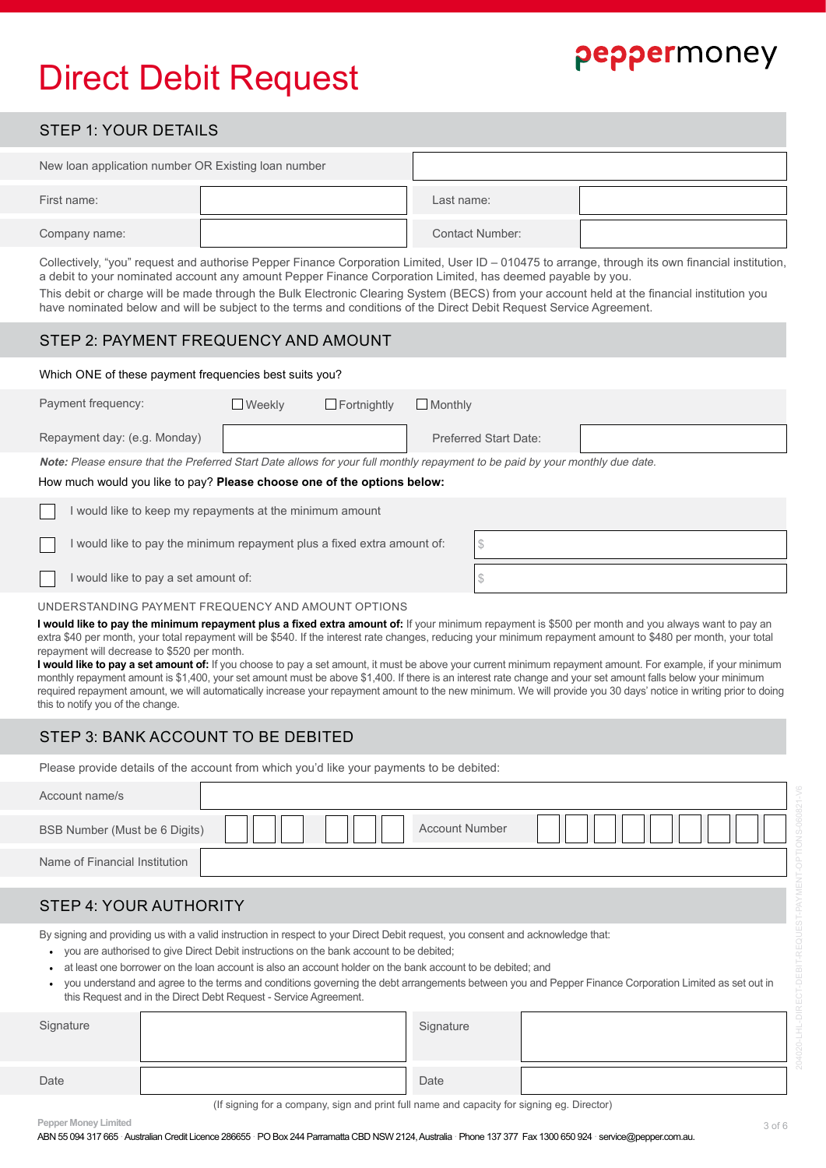# Direct Debit Request

## STEP 1: YOUR DETAILS

| New loan application number OR Existing loan number |  |                        |  |
|-----------------------------------------------------|--|------------------------|--|
| First name:                                         |  | Last name:             |  |
| Company name:                                       |  | <b>Contact Number:</b> |  |

Collectively, "you" request and authorise Pepper Finance Corporation Limited, User ID – 010475 to arrange, through its own financial institution, a debit to your nominated account any amount Pepper Finance Corporation Limited, has deemed payable by you.

This debit or charge will be made through the Bulk Electronic Clearing System (BECS) from your account held at the financial institution you have nominated below and will be subject to the terms and conditions of the Direct Debit Request Service Agreement.

## STEP 2: PAYMENT FREQUENCY AND AMOUNT

### Which ONE of these payment frequencies best suits you?

| Payment frequency:                                                                                                            | <b>Weekly</b> | $\Box$ Fortnightly | Monthly                      |  |
|-------------------------------------------------------------------------------------------------------------------------------|---------------|--------------------|------------------------------|--|
| Repayment day: (e.g. Monday)                                                                                                  |               |                    | <b>Preferred Start Date:</b> |  |
| Note: Please ensure that the Preferred Start Date allows for your full monthly repayment to be paid by your monthly due date. |               |                    |                              |  |
| How much would you like to pay? Please choose one of the options below:                                                       |               |                    |                              |  |
| would like to keep my repoyments of the minimum amount                                                                        |               |                    |                              |  |

| I would like to keep my repayments at the minimum amount                |  |
|-------------------------------------------------------------------------|--|
| I would like to pay the minimum repayment plus a fixed extra amount of: |  |
| I would like to pay a set amount of:                                    |  |

## UNDERSTANDING PAYMENT FREQUENCY AND AMOUNT OPTIONS

I would like to pay the minimum repayment plus a fixed extra amount of: If your minimum repayment is \$500 per month and you always want to pay an extra \$40 per month, your total repayment will be \$540. If the interest rate changes, reducing your minimum repayment amount to \$480 per month, your total repayment will decrease to \$520 per month.

**I would like to pay a set amount of:** If you choose to pay a set amount, it must be above your current minimum repayment amount. For example, if your minimum monthly repayment amount is \$1,400, your set amount must be above \$1,400. If there is an interest rate change and your set amount falls below your minimum required repayment amount, we will automatically increase your repayment amount to the new minimum. We will provide you 30 days' notice in writing prior to doing this to notify you of the change.

## STEP 3: BANK ACCOUNT TO BE DEBITED

Please provide details of the account from which you'd like your payments to be debited:

| Account name/s                |                       |  |
|-------------------------------|-----------------------|--|
| BSB Number (Must be 6 Digits) | <b>Account Number</b> |  |
| Name of Financial Institution |                       |  |
|                               |                       |  |

## STEP 4: YOUR AUTHORITY

By signing and providing us with a valid instruction in respect to your Direct Debit request, you consent and acknowledge that:

- you are authorised to give Direct Debit instructions on the bank account to be debited;
- at least one borrower on the loan account is also an account holder on the bank account to be debited; and
- you understand and agree to the terms and conditions governing the debt arrangements between you and Pepper Finance Corporation Limited as set out in this Request and in the Direct Debt Request - Service Agreement.

| Signature | Signature |  |
|-----------|-----------|--|
| Date      | Date      |  |

(If signing for a company, sign and print full name and capacity for signing eg. Director)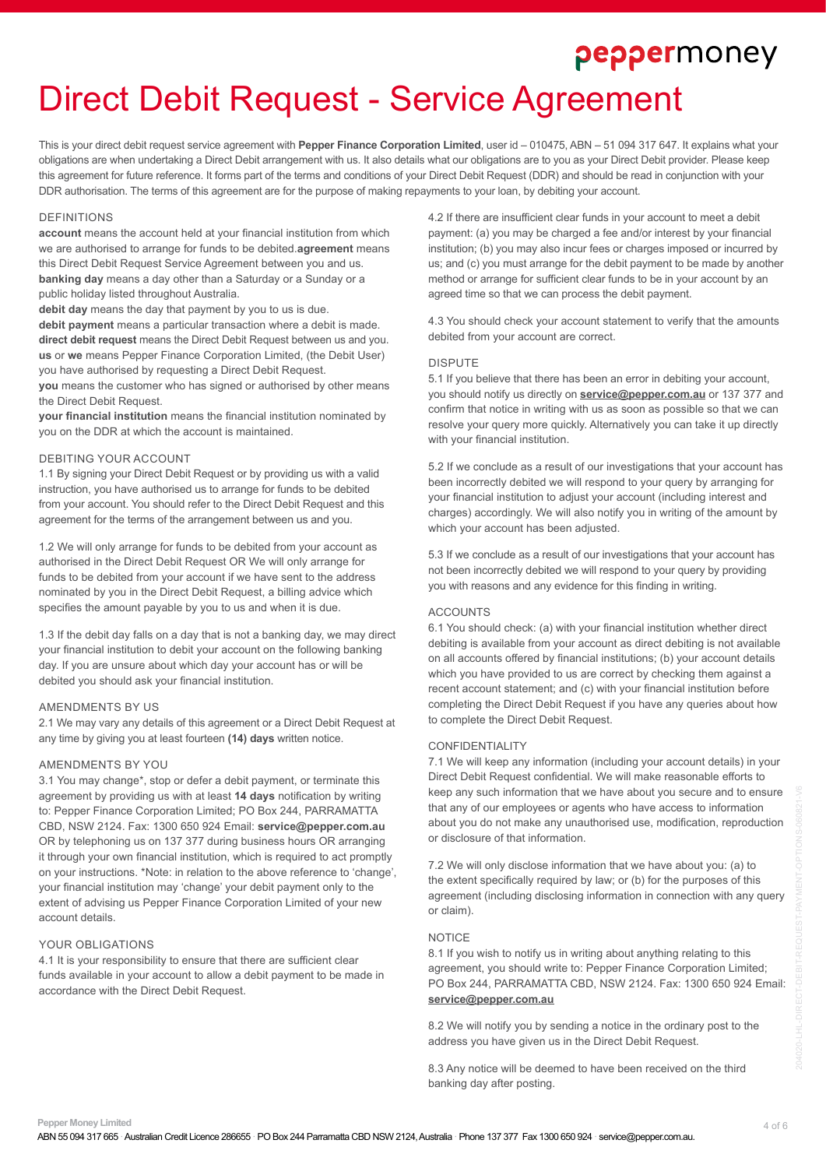# Direct Debit Request - Service Agreement

This is your direct debit request service agreement with **Pepper Finance Corporation Limited**, user id – 010475, ABN – 51 094 317 647. It explains what your obligations are when undertaking a Direct Debit arrangement with us. It also details what our obligations are to you as your Direct Debit provider. Please keep this agreement for future reference. It forms part of the terms and conditions of your Direct Debit Request (DDR) and should be read in conjunction with your DDR authorisation. The terms of this agreement are for the purpose of making repayments to your loan, by debiting your account.

#### **DEFINITIONS**

**account** means the account held at your financial institution from which we are authorised to arrange for funds to be debited.**agreement** means this Direct Debit Request Service Agreement between you and us. **banking day** means a day other than a Saturday or a Sunday or a public holiday listed throughout Australia.

**debit day** means the day that payment by you to us is due. **debit payment** means a particular transaction where a debit is made. **direct debit request** means the Direct Debit Request between us and you. **us** or **we** means Pepper Finance Corporation Limited, (the Debit User) you have authorised by requesting a Direct Debit Request.

**you** means the customer who has signed or authorised by other means the Direct Debit Request.

**your financial institution** means the financial institution nominated by you on the DDR at which the account is maintained.

#### DEBITING YOUR ACCOUNT

1.1 By signing your Direct Debit Request or by providing us with a valid instruction, you have authorised us to arrange for funds to be debited from your account. You should refer to the Direct Debit Request and this agreement for the terms of the arrangement between us and you.

1.2 We will only arrange for funds to be debited from your account as authorised in the Direct Debit Request OR We will only arrange for funds to be debited from your account if we have sent to the address nominated by you in the Direct Debit Request, a billing advice which specifies the amount payable by you to us and when it is due.

1.3 If the debit day falls on a day that is not a banking day, we may direct your financial institution to debit your account on the following banking day. If you are unsure about which day your account has or will be debited you should ask your financial institution.

#### AMENDMENTS BY US

2.1 We may vary any details of this agreement or a Direct Debit Request at any time by giving you at least fourteen **(14) days** written notice.

### AMENDMENTS BY YOU

3.1 You may change\*, stop or defer a debit payment, or terminate this agreement by providing us with at least **14 days** notification by writing to: Pepper Finance Corporation Limited; PO Box 244, PARRAMATTA CBD, NSW 2124. Fax: 1300 650 924 Email: **[service@pepper.com.au](mailto:service%40pepper.com.au?subject=)** OR by telephoning us on 137 377 during business hours OR arranging it through your own financial institution, which is required to act promptly on your instructions. \*Note: in relation to the above reference to 'change', your financial institution may 'change' your debit payment only to the extent of advising us Pepper Finance Corporation Limited of your new account details.

#### YOUR OBLIGATIONS

4.1 It is your responsibility to ensure that there are sufficient clear funds available in your account to allow a debit payment to be made in accordance with the Direct Debit Request.

4.2 If there are insufficient clear funds in your account to meet a debit payment: (a) you may be charged a fee and/or interest by your financial institution; (b) you may also incur fees or charges imposed or incurred by us; and (c) you must arrange for the debit payment to be made by another method or arrange for sufficient clear funds to be in your account by an agreed time so that we can process the debit payment.

4.3 You should check your account statement to verify that the amounts debited from your account are correct.

#### DISPUTE

5.1 If you believe that there has been an error in debiting your account, you should notify us directly on **[service@pepper.com.au](mailto:service%40pepper.com.au%20?subject=)** or 137 377 and confirm that notice in writing with us as soon as possible so that we can resolve your query more quickly. Alternatively you can take it up directly with your financial institution.

5.2 If we conclude as a result of our investigations that your account has been incorrectly debited we will respond to your query by arranging for your financial institution to adjust your account (including interest and charges) accordingly. We will also notify you in writing of the amount by which your account has been adjusted.

5.3 If we conclude as a result of our investigations that your account has not been incorrectly debited we will respond to your query by providing you with reasons and any evidence for this finding in writing.

#### **ACCOUNTS**

6.1 You should check: (a) with your financial institution whether direct debiting is available from your account as direct debiting is not available on all accounts offered by financial institutions; (b) your account details which you have provided to us are correct by checking them against a recent account statement; and (c) with your financial institution before completing the Direct Debit Request if you have any queries about how to complete the Direct Debit Request.

#### CONFIDENTIALITY

7.1 We will keep any information (including your account details) in your Direct Debit Request confidential. We will make reasonable efforts to keep any such information that we have about you secure and to ensure that any of our employees or agents who have access to information about you do not make any unauthorised use, modification, reproduction or disclosure of that information.

7.2 We will only disclose information that we have about you: (a) to the extent specifically required by law; or (b) for the purposes of this agreement (including disclosing information in connection with any query or claim).

#### NOTICE

8.1 If you wish to notify us in writing about anything relating to this agreement, you should write to: Pepper Finance Corporation Limited; PO Box 244, PARRAMATTA CBD, NSW 2124. Fax: 1300 650 924 Email: **[service@pepper.com.au](mailto:service%40pepper.com.au?subject=)**

8.2 We will notify you by sending a notice in the ordinary post to the address you have given us in the Direct Debit Request.

8.3 Any notice will be deemed to have been received on the third banking day after posting.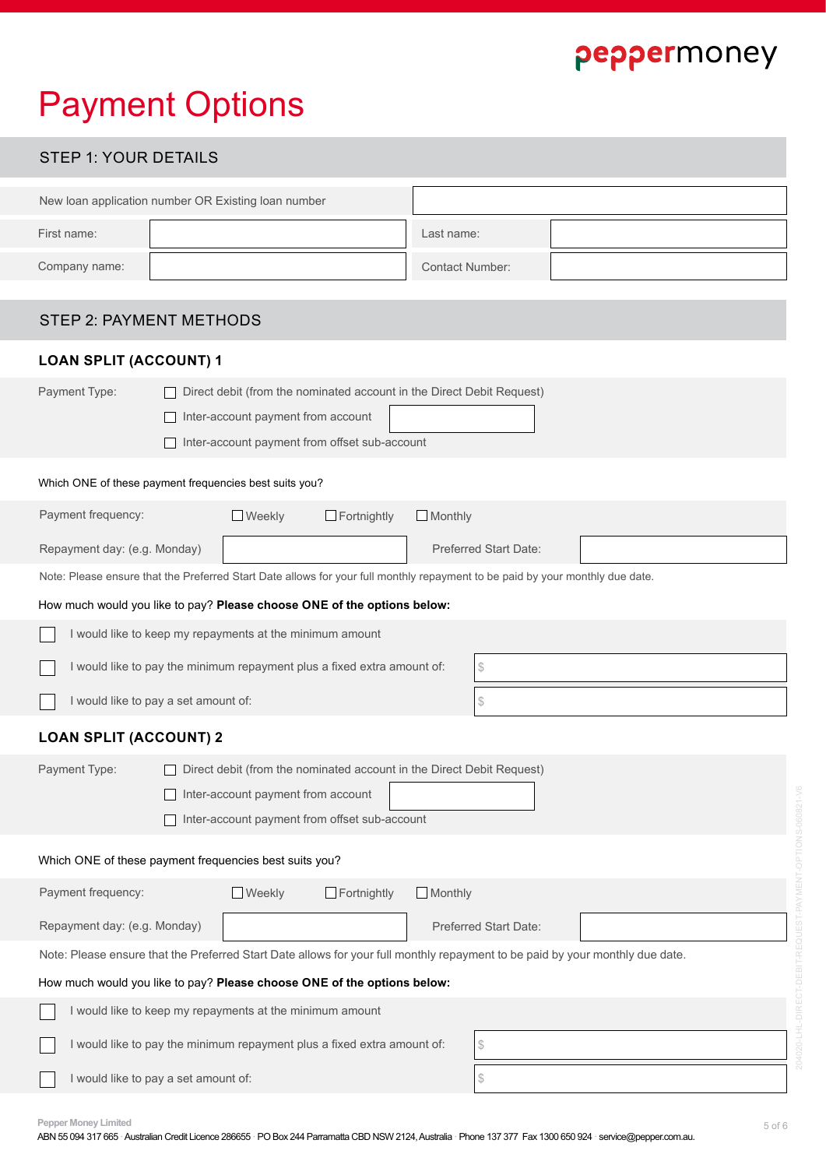# Payment Options

| <b>STEP 1: YOUR DETAILS</b>                                                                                                                                                   |                                                                                                                                                              |                                                                                                                               |  |  |  |
|-------------------------------------------------------------------------------------------------------------------------------------------------------------------------------|--------------------------------------------------------------------------------------------------------------------------------------------------------------|-------------------------------------------------------------------------------------------------------------------------------|--|--|--|
|                                                                                                                                                                               | New loan application number OR Existing loan number                                                                                                          |                                                                                                                               |  |  |  |
| First name:                                                                                                                                                                   |                                                                                                                                                              | Last name:                                                                                                                    |  |  |  |
| Company name:                                                                                                                                                                 |                                                                                                                                                              | <b>Contact Number:</b>                                                                                                        |  |  |  |
| <b>STEP 2: PAYMENT METHODS</b>                                                                                                                                                |                                                                                                                                                              |                                                                                                                               |  |  |  |
| <b>LOAN SPLIT (ACCOUNT) 1</b>                                                                                                                                                 |                                                                                                                                                              |                                                                                                                               |  |  |  |
| Payment Type:                                                                                                                                                                 | Direct debit (from the nominated account in the Direct Debit Request)<br>Inter-account payment from account<br>Inter-account payment from offset sub-account |                                                                                                                               |  |  |  |
|                                                                                                                                                                               | Which ONE of these payment frequencies best suits you?                                                                                                       |                                                                                                                               |  |  |  |
| Payment frequency:                                                                                                                                                            | $\Box$ Weekly<br>$\Box$ Fortnightly                                                                                                                          | $\Box$ Monthly                                                                                                                |  |  |  |
| Repayment day: (e.g. Monday)                                                                                                                                                  |                                                                                                                                                              | <b>Preferred Start Date:</b>                                                                                                  |  |  |  |
|                                                                                                                                                                               |                                                                                                                                                              | Note: Please ensure that the Preferred Start Date allows for your full monthly repayment to be paid by your monthly due date. |  |  |  |
|                                                                                                                                                                               | How much would you like to pay? Please choose ONE of the options below:                                                                                      |                                                                                                                               |  |  |  |
|                                                                                                                                                                               | I would like to keep my repayments at the minimum amount                                                                                                     |                                                                                                                               |  |  |  |
|                                                                                                                                                                               | I would like to pay the minimum repayment plus a fixed extra amount of:                                                                                      | \$                                                                                                                            |  |  |  |
| I would like to pay a set amount of:<br>\$                                                                                                                                    |                                                                                                                                                              |                                                                                                                               |  |  |  |
| <b>LOAN SPLIT (ACCOUNT) 2</b>                                                                                                                                                 |                                                                                                                                                              |                                                                                                                               |  |  |  |
| Payment Type:<br>Direct debit (from the nominated account in the Direct Debit Request)<br>Inter-account payment from account<br>Inter-account payment from offset sub-account |                                                                                                                                                              |                                                                                                                               |  |  |  |
| Which ONE of these payment frequencies best suits you?                                                                                                                        |                                                                                                                                                              |                                                                                                                               |  |  |  |
| Payment frequency:                                                                                                                                                            | <b>Weekly</b><br>$\Box$ Fortnightly                                                                                                                          | $\Box$ Monthly                                                                                                                |  |  |  |
| Repayment day: (e.g. Monday)<br>Preferred Start Date:                                                                                                                         |                                                                                                                                                              |                                                                                                                               |  |  |  |
| Note: Please ensure that the Preferred Start Date allows for your full monthly repayment to be paid by your monthly due date.                                                 |                                                                                                                                                              |                                                                                                                               |  |  |  |
| How much would you like to pay? Please choose ONE of the options below:                                                                                                       |                                                                                                                                                              |                                                                                                                               |  |  |  |
| I would like to keep my repayments at the minimum amount                                                                                                                      |                                                                                                                                                              |                                                                                                                               |  |  |  |
| I would like to pay the minimum repayment plus a fixed extra amount of:<br>\$                                                                                                 |                                                                                                                                                              |                                                                                                                               |  |  |  |

**Pepper Money Limited** 5 of 6

I would like to pay a set amount of:

 $\mathcal{S}$